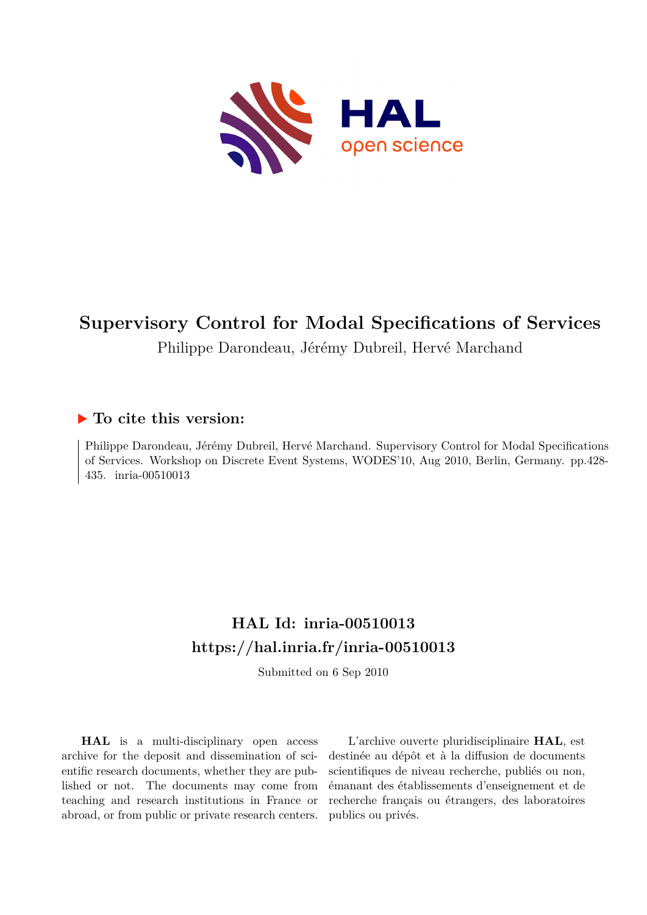

# **Supervisory Control for Modal Specifications of Services**

Philippe Darondeau, Jérémy Dubreil, Hervé Marchand

# **To cite this version:**

Philippe Darondeau, Jérémy Dubreil, Hervé Marchand. Supervisory Control for Modal Specifications of Services. Workshop on Discrete Event Systems, WODES'10, Aug 2010, Berlin, Germany. pp.428- 435. inria-00510013

# **HAL Id: inria-00510013 <https://hal.inria.fr/inria-00510013>**

Submitted on 6 Sep 2010

**HAL** is a multi-disciplinary open access archive for the deposit and dissemination of scientific research documents, whether they are published or not. The documents may come from teaching and research institutions in France or abroad, or from public or private research centers.

L'archive ouverte pluridisciplinaire **HAL**, est destinée au dépôt et à la diffusion de documents scientifiques de niveau recherche, publiés ou non, émanant des établissements d'enseignement et de recherche français ou étrangers, des laboratoires publics ou privés.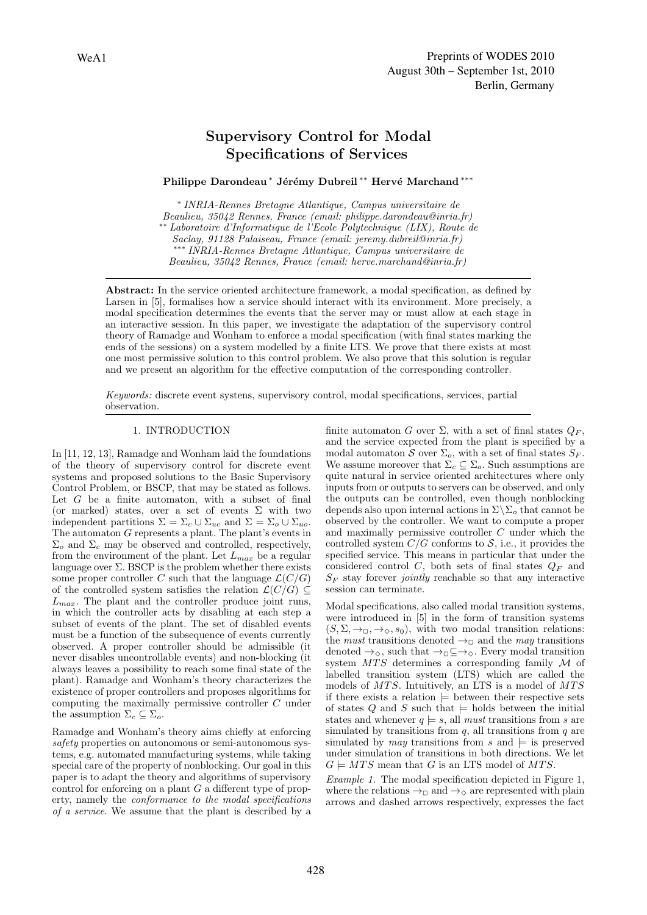# Supervisory Control for Modal Specifications of Services

Philippe Darondeau \* Jérémy Dubreil \*\* Hervé Marchand \*\*\*

∗ *INRIA-Rennes Bretagne Atlantique, Campus universitaire de Beaulieu, 35042 Rennes, France (email: philippe.darondeau@inria.fr)* ∗∗ *Laboratoire d'Informatique de l'Ecole Polytechnique (LIX), Route de Saclay, 91128 Palaiseau, France (email: jeremy.dubreil@inria.fr)* ∗∗∗ *INRIA-Rennes Bretagne Atlantique, Campus universitaire de Beaulieu, 35042 Rennes, France (email: herve.marchand@inria.fr)*

Abstract: In the service oriented architecture framework, a modal specification, as defined by Larsen in [5], formalises how a service should interact with its environment. More precisely, a modal specification determines the events that the server may or must allow at each stage in an interactive session. In this paper, we investigate the adaptation of the supervisory control theory of Ramadge and Wonham to enforce a modal specification (with final states marking the ends of the sessions) on a system modelled by a finite LTS. We prove that there exists at most one most permissive solution to this control problem. We also prove that this solution is regular and we present an algorithm for the effective computation of the corresponding controller.

*Keywords:* discrete event systens, supervisory control, modal specifications, services, partial observation.

# 1. INTRODUCTION

In [11, 12, 13], Ramadge and Wonham laid the foundations of the theory of supervisory control for discrete event systems and proposed solutions to the Basic Supervisory Control Problem, or BSCP, that may be stated as follows. Let  $G$  be a finite automaton, with a subset of final (or marked) states, over a set of events  $\Sigma$  with two independent partitions  $\Sigma = \Sigma_c \cup \Sigma_{uc}$  and  $\Sigma = \Sigma_o \cup \Sigma_{uo}$ . The automaton G represents a plant. The plant's events in  $\Sigma_o$  and  $\Sigma_c$  may be observed and controlled, respectively, from the environment of the plant. Let  $L_{max}$  be a regular language over  $\Sigma$ . BSCP is the problem whether there exists some proper controller C such that the language  $\mathcal{L}(C/G)$ of the controlled system satisfies the relation  $\mathcal{L}(C/G) \subseteq$  $L_{max}$ . The plant and the controller produce joint runs, in which the controller acts by disabling at each step a subset of events of the plant. The set of disabled events must be a function of the subsequence of events currently observed. A proper controller should be admissible (it never disables uncontrollable events) and non-blocking (it always leaves a possibility to reach some final state of the plant). Ramadge and Wonham's theory characterizes the existence of proper controllers and proposes algorithms for computing the maximally permissive controller C under the assumption  $\Sigma_c \subseteq \Sigma_o$ .

Ramadge and Wonham's theory aims chiefly at enforcing *safety* properties on autonomous or semi-autonomous systems, e.g. automated manufacturing systems, while taking special care of the property of nonblocking. Our goal in this paper is to adapt the theory and algorithms of supervisory control for enforcing on a plant  $G$  a different type of property, namely the *conformance to the modal specifications of a service*. We assume that the plant is described by a finite automaton G over  $\Sigma$ , with a set of final states  $Q_F$ , and the service expected from the plant is specified by a modal automaton S over  $\Sigma_o$ , with a set of final states  $S_F$ . We assume moreover that  $\Sigma_c \subseteq \Sigma_o$ . Such assumptions are quite natural in service oriented architectures where only inputs from or outputs to servers can be observed, and only the outputs can be controlled, even though nonblocking depends also upon internal actions in  $\Sigma \backslash \Sigma_o$  that cannot be observed by the controller. We want to compute a proper and maximally permissive controller C under which the controlled system  $C/G$  conforms to  $S$ , i.e., it provides the specified service. This means in particular that under the considered control C, both sets of final states  $Q_F$  and  $S_F$  stay forever *jointly* reachable so that any interactive session can terminate.

Modal specifications, also called modal transition systems, were introduced in [5] in the form of transition systems  $(S, \Sigma, \rightarrow_\square, \rightarrow_\diamond, s_0)$ , with two modal transition relations: the *must* transitions denoted  $\rightarrow$ <sub>□</sub> and the *may* transitions denoted  $\rightarrow_{\Diamond}$ , such that  $\rightarrow_{\Box} \subseteq \rightarrow_{\Diamond}$ . Every modal transition system  $MTS$  determines a corresponding family  $\mathcal M$  of labelled transition system (LTS) which are called the models of  $MTS$ . Intuitively, an LTS is a model of  $MTS$ if there exists a relation  $\models$  between their respective sets of states  $Q$  and  $S$  such that  $\models$  holds between the initial states and whenever  $q \models s$ , all *must* transitions from s are simulated by transitions from  $q$ , all transitions from  $q$  are simulated by *may* transitions from s and  $\models$  is preserved under simulation of transitions in both directions. We let  $G \models MTS$  mean that G is an LTS model of MTS.

*Example 1.* The modal specification depicted in Figure 1, where the relations  $\rightarrow_{\square}$  and  $\rightarrow_{\diamond}$  are represented with plain arrows and dashed arrows respectively, expresses the fact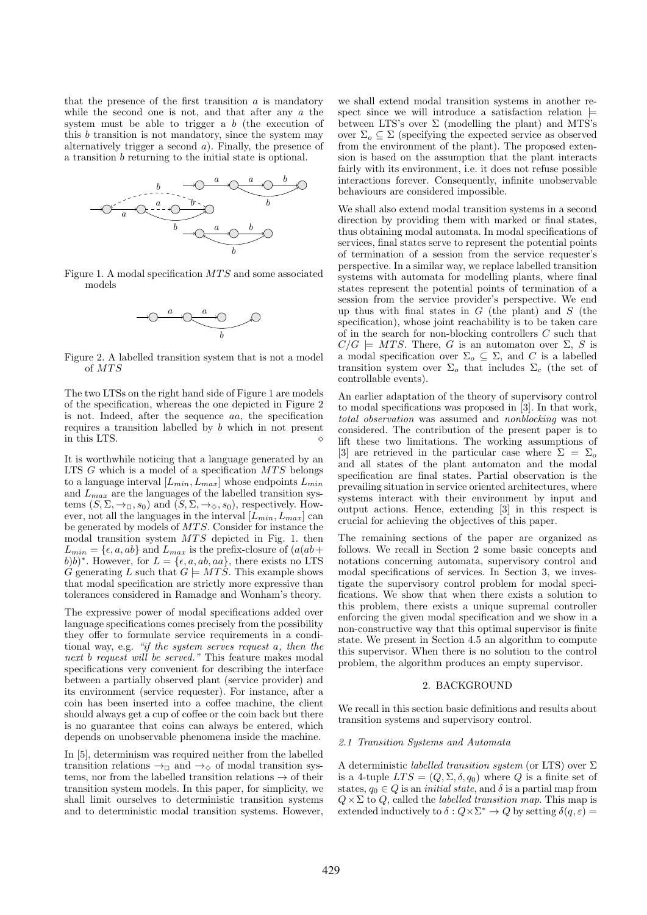that the presence of the first transition  $\alpha$  is mandatory while the second one is not, and that after any  $a$  the system must be able to trigger a  $b$  (the execution of this b transition is not mandatory, since the system may alternatively trigger a second  $a$ ). Finally, the presence of a transition b returning to the initial state is optional.



Figure 1. A modal specification  $MTS$  and some associated models



Figure 2. A labelled transition system that is not a model of  $MTS$ 

The two LTSs on the right hand side of Figure 1 are models of the specification, whereas the one depicted in Figure 2 is not. Indeed, after the sequence aa, the specification requires a transition labelled by b which in not present in this LTS.  $\Diamond$ 

It is worthwhile noticing that a language generated by an LTS  $G$  which is a model of a specification  $MTS$  belongs to a language interval  $[L_{min}, L_{max}]$  whose endpoints  $L_{min}$ and  $L_{max}$  are the languages of the labelled transition systems  $(S, \Sigma, \rightarrow_{\square}, s_0)$  and  $(S, \Sigma, \rightarrow_{\diamond}, s_0)$ , respectively. However, not all the languages in the interval  $[\bar{L}_{min}, L_{max}]$  can be generated by models of MTS. Consider for instance the modal transition system  $MTS$  depicted in Fig. 1. then  $L_{min} = \{ \epsilon, a, ab \}$  and  $L_{max}$  is the prefix-closure of  $(a(ab +$ b)b)<sup>\*</sup>. However, for  $L = \{\epsilon, a, ab, aa\}$ , there exists no LTS G generating L such that  $G \models MTS$ . This example shows that modal specification are strictly more expressive than tolerances considered in Ramadge and Wonham's theory.

The expressive power of modal specifications added over language specifications comes precisely from the possibility they offer to formulate service requirements in a conditional way, e.g. *"if the system serves request* a*, then the next* b *request will be served."* This feature makes modal specifications very convenient for describing the interface between a partially observed plant (service provider) and its environment (service requester). For instance, after a coin has been inserted into a coffee machine, the client should always get a cup of coffee or the coin back but there is no guarantee that coins can always be entered, which depends on unobservable phenomena inside the machine.

In [5], determinism was required neither from the labelled transition relations  $\rightarrow_{\square}$  and  $\rightarrow_{\Diamond}$  of modal transition systems, nor from the labelled transition relations  $\rightarrow$  of their transition system models. In this paper, for simplicity, we shall limit ourselves to deterministic transition systems and to deterministic modal transition systems. However,

we shall extend modal transition systems in another respect since we will introduce a satisfaction relation  $\models$ between LTS's over  $\Sigma$  (modelling the plant) and MTS's over  $\Sigma_o \subseteq \Sigma$  (specifying the expected service as observed from the environment of the plant). The proposed extension is based on the assumption that the plant interacts fairly with its environment, i.e. it does not refuse possible interactions forever. Consequently, infinite unobservable behaviours are considered impossible.

We shall also extend modal transition systems in a second direction by providing them with marked or final states, thus obtaining modal automata. In modal specifications of services, final states serve to represent the potential points of termination of a session from the service requester's perspective. In a similar way, we replace labelled transition systems with automata for modelling plants, where final states represent the potential points of termination of a session from the service provider's perspective. We end up thus with final states in  $G$  (the plant) and  $S$  (the specification), whose joint reachability is to be taken care of in the search for non-blocking controllers C such that  $C/G \models MTS$ . There, G is an automaton over  $\Sigma$ , S is a modal specification over  $\Sigma_o \subseteq \Sigma$ , and C is a labelled transition system over  $\Sigma_o$  that includes  $\Sigma_c$  (the set of controllable events).

An earlier adaptation of the theory of supervisory control to modal specifications was proposed in [3]. In that work, *total observation* was assumed and *nonblocking* was not considered. The contribution of the present paper is to lift these two limitations. The working assumptions of [3] are retrieved in the particular case where  $\Sigma = \Sigma_o$ and all states of the plant automaton and the modal specification are final states. Partial observation is the prevailing situation in service oriented architectures, where systems interact with their environment by input and output actions. Hence, extending [3] in this respect is crucial for achieving the objectives of this paper.

The remaining sections of the paper are organized as follows. We recall in Section 2 some basic concepts and notations concerning automata, supervisory control and modal specifications of services. In Section 3, we investigate the supervisory control problem for modal specifications. We show that when there exists a solution to this problem, there exists a unique supremal controller enforcing the given modal specification and we show in a non-constructive way that this optimal supervisor is finite state. We present in Section 4.5 an algorithm to compute this supervisor. When there is no solution to the control problem, the algorithm produces an empty supervisor.

## 2. BACKGROUND

We recall in this section basic definitions and results about transition systems and supervisory control.

#### *2.1 Transition Systems and Automata*

A deterministic *labelled transition system* (or LTS) over Σ is a 4-tuple  $LTS = (Q, \Sigma, \delta, q_0)$  where Q is a finite set of states,  $q_0 \in Q$  is an *initial state*, and  $\delta$  is a partial map from  $Q \times \Sigma$  to Q, called the *labelled transition map*. This map is extended inductively to  $\delta: Q \times \Sigma^* \to Q$  by setting  $\delta(q, \varepsilon) =$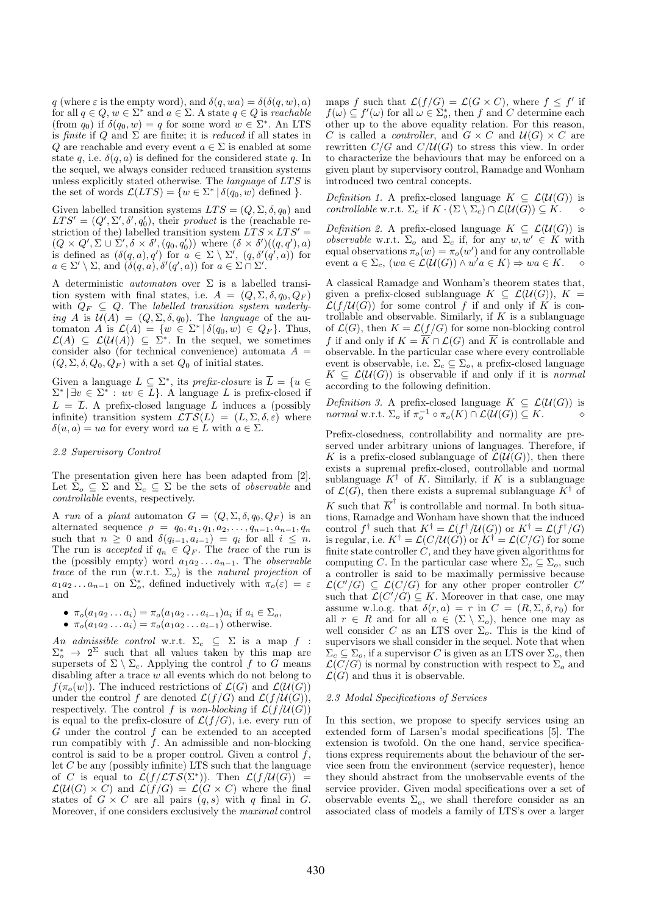q (where  $\varepsilon$  is the empty word), and  $\delta(q, wa) = \delta(\delta(q, w), a)$ for all  $q \in Q$ ,  $w \in \Sigma^*$  and  $a \in \Sigma$ . A state  $q \in Q$  is *reachable* (from  $q_0$ ) if  $\delta(q_0, w) = q$  for some word  $w \in \Sigma^*$ . An LTS is *finite* if  $Q$  and  $\Sigma$  are finite; it is *reduced* if all states in Q are reachable and every event  $a \in \Sigma$  is enabled at some state q, i.e.  $\delta(q, a)$  is defined for the considered state q. In the sequel, we always consider reduced transition systems unless explicitly stated otherwise. The *language* of LTS is the set of words  $\mathcal{L}(LTS) = \{w \in \Sigma^* | \delta(q_0, w) \text{ defined } \}.$ 

Given labelled transition systems  $LTS = (Q, \Sigma, \delta, q_0)$  and  $LTS' = (Q', \Sigma', \delta', q'_0)$ , their *product* is the (reachable restriction of the) labelled transition system  $\hat{L}TS \times LTS' =$  $(Q \times Q', \Sigma \cup \Sigma', \delta \times \delta', (q_0, q'_0))$  where  $(\delta \times \delta')((q, q'), a)$ is defined as  $(\delta(q, a), q')$  for  $a \in \Sigma \setminus \Sigma'$ ,  $(q, \delta'(q', a))$  for  $a \in \Sigma' \setminus \Sigma$ , and  $(\delta(q, a), \delta'(q', a))$  for  $a \in \Sigma \cap \Sigma'$ .

A deterministic *automaton* over Σ is a labelled transition system with final states, i.e.  $A = (Q, \Sigma, \delta, q_0, Q_F)$ with  $Q_F \subseteq Q$ . The *labelled transition system underlying* A is  $\mathcal{U}(A) = (Q, \Sigma, \delta, q_0)$ . The *language* of the automaton A is  $\mathcal{L}(A) = \{w \in \Sigma^* | \delta(q_0, w) \in Q_F\}.$  Thus,  $\mathcal{L}(A) \subseteq \mathcal{L}(\mathcal{U}(A)) \subseteq \Sigma^*$ . In the sequel, we sometimes consider also (for technical convenience) automata  $A =$  $(Q, \Sigma, \delta, Q_0, Q_F)$  with a set  $Q_0$  of initial states.

Given a language  $L \subseteq \Sigma^*$ , its *prefix-closure* is  $\overline{L} = \{u \in$  $\Sigma^* \mid \exists v \in \Sigma^* : uv \in L$ . A language L is prefix-closed if  $L = \overline{L}$ . A prefix-closed language L induces a (possibly infinite) transition system  $\mathcal{LTS}(L) = (L, \Sigma, \delta, \varepsilon)$  where  $\delta(u, a) = ua$  for every word  $ua \in L$  with  $a \in \Sigma$ .

#### *2.2 Supervisory Control*

The presentation given here has been adapted from [2]. Let  $\Sigma_o \subseteq \Sigma$  and  $\Sigma_c \subseteq \Sigma$  be the sets of *observable* and *controllable* events, respectively.

A *run* of a *plant* automaton  $G = (Q, \Sigma, \delta, q_0, Q_F)$  is an alternated sequence  $\rho = q_0, a_1, q_1, a_2, \ldots, q_{n-1}, a_{n-1}, q_n$ such that  $n \geq 0$  and  $\delta(q_{i-1}, a_{i-1}) = q_i$  for all  $i \leq n$ . The run is *accepted* if  $q_n \in Q_F$ . The *trace* of the run is the (possibly empty) word  $a_1a_2 \ldots a_{n-1}$ . The *observable trace* of the run (w.r.t.  $\Sigma_o$ ) is the *natural projection* of  $a_1 a_2 \dots a_{n-1}$  on  $\Sigma_o^*$ , defined inductively with  $\pi_o(\varepsilon) = \varepsilon$ and

\n- \n
$$
\pi_o(a_1a_2\ldots a_i) = \pi_o(a_1a_2\ldots a_{i-1})a_i
$$
 if  $a_i \in \Sigma_o$ ,\n
\n- \n
$$
\pi_o(a_1a_2\ldots a_i) = \pi_o(a_1a_2\ldots a_{i-1})
$$
 otherwise.\n
\n

*An admissible control* w.r.t.  $\Sigma_c \subseteq \Sigma$  is a map  $f$  :  $\Sigma_o^*$   $\rightarrow$  2<sup> $\Sigma$ </sup> such that all values taken by this map are supersets of  $\Sigma \setminus \Sigma_c$ . Applying the control f to G means disabling after a trace w all events which do not belong to  $f(\pi_o(w))$ . The induced restrictions of  $\mathcal{L}(G)$  and  $\mathcal{L}(\mathcal{U}(G))$ under the control f are denoted  $\mathcal{L}(f/G)$  and  $\mathcal{L}(f/\mathcal{U}(G)),$ respectively. The control f is *non-blocking* if  $\mathcal{L}(f/\mathcal{U}(G))$ is equal to the prefix-closure of  $\mathcal{L}(f/G)$ , i.e. every run of G under the control f can be extended to an accepted run compatibly with  $f$ . An admissible and non-blocking control is said to be a proper control. Given a control  $f$ , let  $C$  be any (possibly infinite) LTS such that the language of C is equal to  $\mathcal{L}(f/\mathcal{L}TS(\Sigma^*))$ . Then  $\mathcal{L}(f/\mathcal{U}(G)) =$  $\mathcal{L}(\mathcal{U}(G) \times C)$  and  $\mathcal{L}(f/G) = \mathcal{L}(G \times C)$  where the final states of  $G \times C$  are all pairs  $(q, s)$  with q final in G. Moreover, if one considers exclusively the *maximal* control

maps f such that  $\mathcal{L}(f/G) = \mathcal{L}(G \times C)$ , where  $f \leq f'$  if  $f(\omega) \subseteq f'(\omega)$  for all  $\omega \in \Sigma_o^*$ , then f and C determine each other up to the above equality relation. For this reason, C is called a *controller*, and  $G \times C$  and  $U(G) \times C$  are rewritten  $C/G$  and  $C/U(G)$  to stress this view. In order to characterize the behaviours that may be enforced on a given plant by supervisory control, Ramadge and Wonham introduced two central concepts.

*Definition 1.* A prefix-closed language  $K \subseteq \mathcal{L}(\mathcal{U}(G))$  is *controllable* w.r.t.  $\Sigma_c$  if  $K \cdot (\Sigma \setminus \Sigma_c) \cap \mathcal{L}(\mathcal{U}(G)) \subseteq K$ .

*Definition 2.* A prefix-closed language  $K \subseteq \mathcal{L}(\mathcal{U}(G))$  is *observable* w.r.t.  $\Sigma_o$  and  $\Sigma_c$  if, for any  $w, w' \in K$  with equal observations  $\pi_o(w) = \pi_o(w')$  and for any controllable event  $a \in \Sigma_c$ ,  $(wa \in \mathcal{L}(\mathcal{U}(G)) \wedge w'a \in K) \Rightarrow wa \in K$ .  $\diamond$ 

A classical Ramadge and Wonham's theorem states that, given a prefix-closed sublanguage  $K \subseteq \mathcal{L}(\mathcal{U}(G)), K =$  $\mathcal{L}(f / \mathcal{U}(G))$  for some control f if and only if K is controllable and observable. Similarly, if  $K$  is a sublanguage of  $\mathcal{L}(G)$ , then  $K = \mathcal{L}(f/G)$  for some non-blocking control f if and only if  $K = \overline{K} \cap \mathcal{L}(G)$  and  $\overline{K}$  is controllable and observable. In the particular case where every controllable event is observable, i.e.  $\Sigma_c \subseteq \Sigma_o$ , a prefix-closed language  $K \subseteq \mathcal{L}(\mathcal{U}(G))$  is observable if and only if it is *normal* according to the following definition.

*Definition 3.* A prefix-closed language  $K \subseteq \mathcal{L}(\mathcal{U}(G))$  is *normal* w.r.t. Σ<sup>o</sup> if π −1 <sup>o</sup> ◦ πo(K) ∩ L(U(G)) ⊆ K. ⋄

Prefix-closedness, controllability and normality are preserved under arbitrary unions of languages. Therefore, if K is a prefix-closed sublanguage of  $\mathcal{L}(\mathcal{U}(G))$ , then there exists a supremal prefix-closed, controllable and normal sublanguage  $K^{\dagger}$  of K. Similarly, if K is a sublanguage of  $\mathcal{L}(G)$ , then there exists a supremal sublanguage  $K^{\dagger}$  of K such that  $\overline{K}^{\dagger}$  is controllable and normal. In both situations, Ramadge and Wonham have shown that the induced control  $f^{\dagger}$  such that  $K^{\dagger} = \mathcal{L}(f^{\dagger}/\mathcal{U}(G))$  or  $K^{\dagger} = \mathcal{L}(f^{\dagger}/G)$ is regular, i.e.  $K^{\dagger} = \mathcal{L}(C/\mathcal{U}(G))$  or  $K^{\dagger} = \mathcal{L}(C/G)$  for some finite state controller  $C$ , and they have given algorithms for computing C. In the particular case where  $\Sigma_c \subseteq \Sigma_o$ , such a controller is said to be maximally permissive because  $\mathcal{L}(C'/G) \subseteq \mathcal{L}(C/G)$  for any other proper controller C' such that  $\mathcal{L}(C'/G) \subseteq K$ . Moreover in that case, one may assume w.l.o.g. that  $\delta(r, a) = r$  in  $C = (R, \Sigma, \delta, r_0)$  for all  $r \in R$  and for all  $a \in (\Sigma \setminus \Sigma_o)$ , hence one may as well consider C as an LTS over  $\Sigma_o$ . This is the kind of supervisors we shall consider in the sequel. Note that when  $\Sigma_c \subseteq \Sigma_o$ , if a supervisor C is given as an LTS over  $\Sigma_o$ , then  $\mathcal{L}(C/G)$  is normal by construction with respect to  $\Sigma_o$  and  $\mathcal{L}(G)$  and thus it is observable.

#### *2.3 Modal Specifications of Services*

In this section, we propose to specify services using an extended form of Larsen's modal specifications [5]. The extension is twofold. On the one hand, service specifications express requirements about the behaviour of the service seen from the environment (service requester), hence they should abstract from the unobservable events of the service provider. Given modal specifications over a set of observable events  $\Sigma_o$ , we shall therefore consider as an associated class of models a family of LTS's over a larger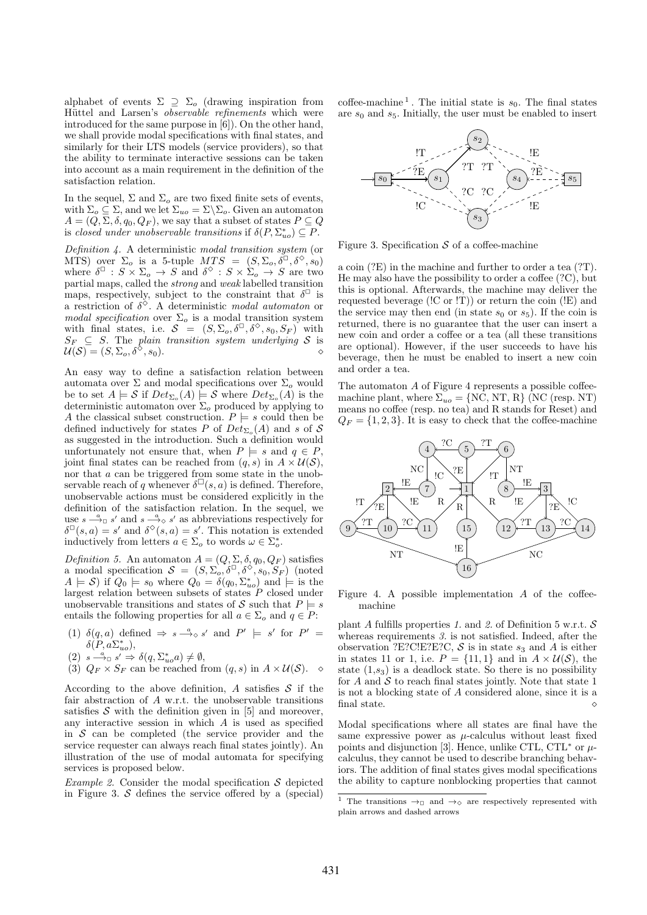alphabet of events  $\Sigma \supseteq \Sigma_o$  (drawing inspiration from Hüttel and Larsen's *observable refinements* which were introduced for the same purpose in [6]). On the other hand, we shall provide modal specifications with final states, and similarly for their LTS models (service providers), so that the ability to terminate interactive sessions can be taken into account as a main requirement in the definition of the satisfaction relation.

In the sequel,  $\Sigma$  and  $\Sigma_o$  are two fixed finite sets of events, with  $\Sigma_o \subseteq \Sigma$ , and we let  $\Sigma_{uo} = \Sigma \backslash \Sigma_o$ . Given an automaton  $A = (Q, \Sigma, \delta, q_0, Q_F)$ , we say that a subset of states  $P \subseteq Q$ is *closed under unobservable transitions* if  $\delta(P, \Sigma_{uo}^*) \subseteq P$ .

*Definition 4.* A deterministic *modal transition system* (or MTS) over  $\Sigma_o$  is a 5-tuple  $MTS = (S, \Sigma_o, \delta^{\Box}, \delta^{\Diamond}, s_0)$ where  $\delta^{\square}$  :  $S \times \Sigma_o \rightarrow S$  and  $\delta^{\diamond}$  :  $S \times \Sigma_o \rightarrow S$  are two partial maps, called the *strong* and *weak* labelled transition maps, respectively, subject to the constraint that  $\delta^{\Box}$  is a restriction of  $\delta^{\diamond}$ . A deterministic *modal automaton* or *modal specification* over  $\Sigma_o$  is a modal transition system with final states, i.e.  $S = (S, \Sigma_o, \delta^{\square}, \delta^{\diamond}, s_0, S_F)$  with  $S_F \subseteq S$ . The *plain transition system underlying* S is  $\mathcal{U}(\mathcal{S}) = (S, \Sigma_o, \delta^{\diamondsuit}, s_0)$ .

An easy way to define a satisfaction relation between automata over  $\Sigma$  and modal specifications over  $\Sigma_o$  would be to set  $A \models S$  if  $Det_{\Sigma_o}(A) \models S$  where  $Det_{\Sigma_o}(A)$  is the deterministic automaton over  $\Sigma_o$  produced by applying to A the classical subset construction.  $P \models s$  could then be defined inductively for states P of  $Det_{\Sigma_o}(A)$  and s of S as suggested in the introduction. Such a definition would unfortunately not ensure that, when  $P \models s$  and  $q \in P$ , joint final states can be reached from  $(q, s)$  in  $A \times \mathcal{U}(\mathcal{S})$ , nor that a can be triggered from some state in the unobservable reach of q whenever  $\delta^{\square}(s, a)$  is defined. Therefore, unobservable actions must be considered explicitly in the definition of the satisfaction relation. In the sequel, we use  $s \stackrel{a}{\longrightarrow} s'$  and  $s \stackrel{a}{\longrightarrow} s'$  as abbreviations respectively for  $\delta^{\square}(s, a) = s'$  and  $\delta^{\diamond}(s, a) = s'$ . This notation is extended inductively from letters  $a \in \Sigma_o$  to words  $\omega \in \Sigma_o^*$ .

*Definition 5.* An automaton  $A = (Q, \Sigma, \delta, q_0, Q_F)$  satisfies a modal specification  $S = (S, \Sigma_o, \delta^{\Box}, \delta^{\Diamond}, s_0, S_F)$  (noted  $A \models \mathcal{S}$  if  $Q_0 \models s_0$  where  $Q_0 = \delta(q_0, \Sigma_{uo}^*)$  and  $\models$  is the largest relation between subsets of states  $\overrightarrow{P}$  closed under unobservable transitions and states of S such that  $P \models s$ entails the following properties for all  $a \in \Sigma_o$  and  $q \in P$ :

- (1)  $\delta(q, a)$  defined  $\Rightarrow s \stackrel{a}{\longrightarrow} s'$  and  $P' \models s'$  for  $P' =$  $\delta(P, a\Sigma_{uo}^*),$
- $(2)$   $s \stackrel{a}{\longrightarrow}_{\Box} s' \Rightarrow \delta(q, \Sigma_{uo}^* a) \neq \emptyset,$
- (3)  $Q_F \times S_F$  can be reached from  $(q, s)$  in  $A \times \mathcal{U}(\mathcal{S})$ .  $\diamond$

According to the above definition, A satisfies  $S$  if the fair abstraction of A w.r.t. the unobservable transitions satisfies  $S$  with the definition given in [5] and moreover, any interactive session in which A is used as specified in  $S$  can be completed (the service provider and the service requester can always reach final states jointly). An illustration of the use of modal automata for specifying services is proposed below.

*Example 2.* Consider the modal specification  $S$  depicted in Figure 3.  $S$  defines the service offered by a (special)

coffee-machine<sup>1</sup>. The initial state is  $s_0$ . The final states are  $s_0$  and  $s_5$ . Initially, the user must be enabled to insert



Figure 3. Specification  $S$  of a coffee-machine

a coin (?E) in the machine and further to order a tea (?T). He may also have the possibility to order a coffee (?C), but this is optional. Afterwards, the machine may deliver the requested beverage (!C or !T)) or return the coin (!E) and the service may then end (in state  $s_0$  or  $s_5$ ). If the coin is returned, there is no guarantee that the user can insert a new coin and order a coffee or a tea (all these transitions are optional). However, if the user succeeds to have his beverage, then he must be enabled to insert a new coin and order a tea.

The automaton  $A$  of Figure 4 represents a possible coffeemachine plant, where  $\Sigma_{uo} = \{N\dot{C}, NT, R\}$  (NC (resp. NT) means no coffee (resp. no tea) and R stands for Reset) and  $Q_F = \{1, 2, 3\}$ . It is easy to check that the coffee-machine



Figure 4. A possible implementation  $A$  of the coffeemachine

plant A fulfills properties 1. and 2. of Definition 5 w.r.t.  $S$ whereas requirements *3.* is not satisfied. Indeed, after the observation ?E?C!E?E?C,  $S$  is in state  $s_3$  and  $\ddot{A}$  is either in states 11 or 1, i.e.  $P = \{11, 1\}$  and in  $A \times U(S)$ , the state  $(1,s_3)$  is a deadlock state. So there is no possibility for  $A$  and  $S$  to reach final states jointly. Note that state 1 is not a blocking state of A considered alone, since it is a final state.

Modal specifications where all states are final have the same expressive power as  $\mu$ -calculus without least fixed points and disjunction [3]. Hence, unlike CTL, CTL<sup>\*</sup> or  $\mu$ calculus, they cannot be used to describe branching behaviors. The addition of final states gives modal specifications the ability to capture nonblocking properties that cannot

<sup>&</sup>lt;sup>1</sup> The transitions  $\rightarrow$ <sub>□</sub> and  $\rightarrow$ <sub>◇</sub> are respectively represented with plain arrows and dashed arrows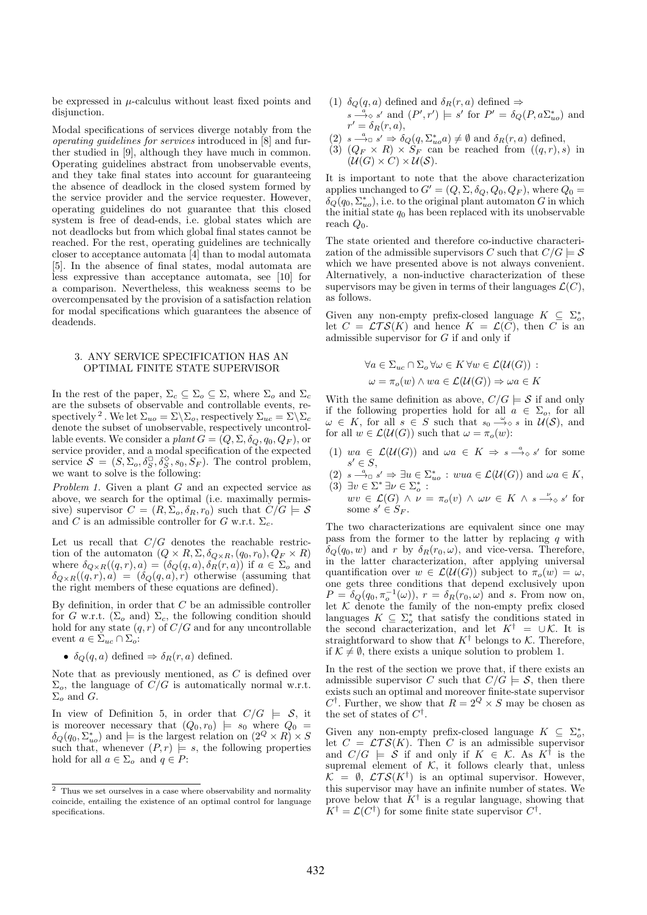be expressed in  $\mu$ -calculus without least fixed points and disjunction.

Modal specifications of services diverge notably from the *operating guidelines for services* introduced in [8] and further studied in [9], although they have much in common. Operating guidelines abstract from unobservable events, and they take final states into account for guaranteeing the absence of deadlock in the closed system formed by the service provider and the service requester. However, operating guidelines do not guarantee that this closed system is free of dead-ends, i.e. global states which are not deadlocks but from which global final states cannot be reached. For the rest, operating guidelines are technically closer to acceptance automata [4] than to modal automata [5]. In the absence of final states, modal automata are less expressive than acceptance automata, see [10] for a comparison. Nevertheless, this weakness seems to be overcompensated by the provision of a satisfaction relation for modal specifications which guarantees the absence of deadends.

### 3. ANY SERVICE SPECIFICATION HAS AN OPTIMAL FINITE STATE SUPERVISOR

In the rest of the paper,  $\Sigma_c \subseteq \Sigma_o \subseteq \Sigma$ , where  $\Sigma_o$  and  $\Sigma_c$ are the subsets of observable and controllable events, respectively <sup>2</sup>. We let  $\Sigma_{uo} = \Sigma \backslash \Sigma_o$ , respectively  $\Sigma_{uc} = \Sigma \backslash \Sigma_c$ denote the subset of unobservable, respectively uncontrollable events. We consider a *plant*  $G = (Q, \Sigma, \delta_Q, q_0, Q_F)$ , or service provider, and a modal specification of the expected service  $\mathcal{S} = (S, \Sigma_o, \delta_S^{\square}, \delta_S^{\diamond}, s_0, S_F)$ . The control problem, we want to solve is the following:

*Problem 1.* Given a plant G and an expected service as above, we search for the optimal (i.e. maximally permissive) supervisor  $C = (R, \Sigma_o, \delta_R, r_0)$  such that  $C/G \models S$ and C is an admissible controller for G w.r.t.  $\Sigma_c$ .

Let us recall that  $C/G$  denotes the reachable restriction of the automaton  $(Q \times R, \Sigma, \delta_{Q \times R}, (q_0, r_0), Q_F \times R)$ where  $\delta_{Q\times R}((q, r), a) = (\delta_Q(q, a), \delta_R(r, a))$  if  $a \in \Sigma_o$  and  $\delta_{Q\times R}((q, r), a) = (\delta_Q(q, a), r)$  otherwise (assuming that the right members of these equations are defined).

By definition, in order that  $C$  be an admissible controller for G w.r.t. ( $\Sigma_o$  and)  $\Sigma_c$ , the following condition should hold for any state  $(q, r)$  of  $C/G$  and for any uncontrollable event  $a \in \Sigma_{uc} \cap \Sigma_o$ :

•  $\delta_Q(q, a)$  defined  $\Rightarrow \delta_R(r, a)$  defined.

Note that as previously mentioned, as C is defined over  $\Sigma_o$ , the language of  $C/G$  is automatically normal w.r.t.  $\Sigma_o$  and G.

In view of Definition 5, in order that  $C/G \models S$ , it is moreover necessary that  $(Q_0, r_0) \models s_0$  where  $Q_0 =$  $\delta_Q(q_0, \Sigma_{uo}^*)$  and  $\models$  is the largest relation on  $(2^Q \times R) \times S$ such that, whenever  $(P, r) \models s$ , the following properties hold for all  $a \in \Sigma_o$  and  $q \in P$ :

- (1)  $\delta_Q(q, a)$  defined and  $\delta_R(r, a)$  defined  $\Rightarrow$  $s \stackrel{a}{\longrightarrow} s'$  and  $(P', r') \models s'$  for  $P' = \delta_Q(P, a\Sigma_{uo}^*)$  and  $r' = \delta_R(r, a),$
- (2)  $s \stackrel{a}{\longrightarrow}_{\Box} s' \Rightarrow \delta_Q(q, \Sigma_{uo}^* a) \neq \emptyset$  and  $\delta_R(r, a)$  defined,
- (3)  $(Q_F \times R) \times S_F$  can be reached from  $((q,r),s)$  in  $(\mathcal{U}(G) \times C) \times \mathcal{U}(S)$ .

It is important to note that the above characterization applies unchanged to  $G' = (Q, \Sigma, \delta_Q, Q_0, Q_F)$ , where  $Q_0 =$  $\delta_Q(q_0, \Sigma_{uo}^*)$ , i.e. to the original plant automaton G in which the initial state  $q_0$  has been replaced with its unobservable reach  $Q_0$ .

The state oriented and therefore co-inductive characterization of the admissible supervisors C such that  $C/G \models S$ which we have presented above is not always convenient. Alternatively, a non-inductive characterization of these supervisors may be given in terms of their languages  $\mathcal{L}(C)$ , as follows.

Given any non-empty prefix-closed language  $K \subseteq \Sigma_o^*$ , let  $C = \mathcal{LT}S(K)$  and hence  $K = \mathcal{L}(C)$ , then C is an admissible supervisor for  $G$  if and only if

$$
\forall a \in \Sigma_{uc} \cap \Sigma_o \forall \omega \in K \forall w \in \mathcal{L}(\mathcal{U}(G)) :
$$
  

$$
\omega = \pi_o(w) \land wa \in \mathcal{L}(\mathcal{U}(G)) \Rightarrow \omega a \in K
$$

With the same definition as above,  $C/G \models S$  if and only if the following properties hold for all  $a \in \Sigma_o$ , for all  $\omega \in K$ , for all  $s \in S$  such that  $s_0 \stackrel{\omega}{\longrightarrow} s$  in  $\mathcal{U}(S)$ , and for all  $w \in \mathcal{L}(\mathcal{U}(G))$  such that  $\omega = \pi_o(w)$ :

- (1)  $wa \in \mathcal{L}(\mathcal{U}(G))$  and  $wa \in K \Rightarrow s \stackrel{a}{\longrightarrow} s'$  for some  $s' \in S$ ,
- (2)  $s \stackrel{a}{\longrightarrow}_{\Box} s' \Rightarrow \exists u \in \Sigma_{uo}^* : wua \in \mathcal{L}(\mathcal{U}(G))$  and  $\omega a \in K$ , (3)  $\exists v \in \Sigma^* \exists v \in \Sigma_0^* :$ <br> $\lim_{v \to v} \mathcal{L}(C) \wedge u = \pi(v) \wedge \langle v, \in K \wedge \mathcal{L} \rangle$

 $wv \in \mathcal{L}(G) \land \nu = \pi_o(v) \land \omega \nu \in K \land s \stackrel{\nu}{\longrightarrow} s'$  for some  $s' \in S_F$ .

The two characterizations are equivalent since one may pass from the former to the latter by replacing  $q$  with  $\delta_Q(q_0, w)$  and r by  $\delta_R(r_0, \omega)$ , and vice-versa. Therefore, in the latter characterization, after applying universal quantification over  $w \in \mathcal{L}(\mathcal{U}(G))$  subject to  $\pi_o(w) = \omega$ , one gets three conditions that depend exclusively upon  $P = \delta_Q(q_0, \pi_o^{-1}(\omega))$ ,  $r = \delta_R(r_0, \omega)$  and s. From now on, let  $K$  denote the family of the non-empty prefix closed languages  $K \subseteq \Sigma_o^*$  that satisfy the conditions stated in the second characterization, and let  $K^{\dagger} = \cup \mathcal{K}$ . It is straightforward to show that  $K^{\dagger}$  belongs to K. Therefore, if  $K \neq \emptyset$ , there exists a unique solution to problem 1.

In the rest of the section we prove that, if there exists an admissible supervisor C such that  $C/G \models S$ , then there exists such an optimal and moreover finite-state supervisor  $C^{\dagger}$ . Further, we show that  $R = 2^Q \times S$  may be chosen as the set of states of  $C^{\dagger}$ .

Given any non-empty prefix-closed language  $K \subseteq \Sigma_o^*$ , let  $C = \mathcal{L} \mathcal{T} \mathcal{S}(K)$ . Then C is an admissible supervisor and  $C/G \models \mathcal{S}$  if and only if  $K \in \mathcal{K}$ . As  $K^{\dagger}$  is the supremal element of  $K$ , it follows clearly that, unless  $\mathcal{K} = \emptyset$ ,  $\mathcal{LT}S(K^{\dagger})$  is an optimal supervisor. However, this supervisor may have an infinite number of states. We prove below that  $K^{\dagger}$  is a regular language, showing that  $K^{\dagger} = \mathcal{L}(C^{\dagger})$  for some finite state supervisor  $C^{\dagger}$ .

 $\overline{2}$  Thus we set ourselves in a case where observability and normality coincide, entailing the existence of an optimal control for language specifications.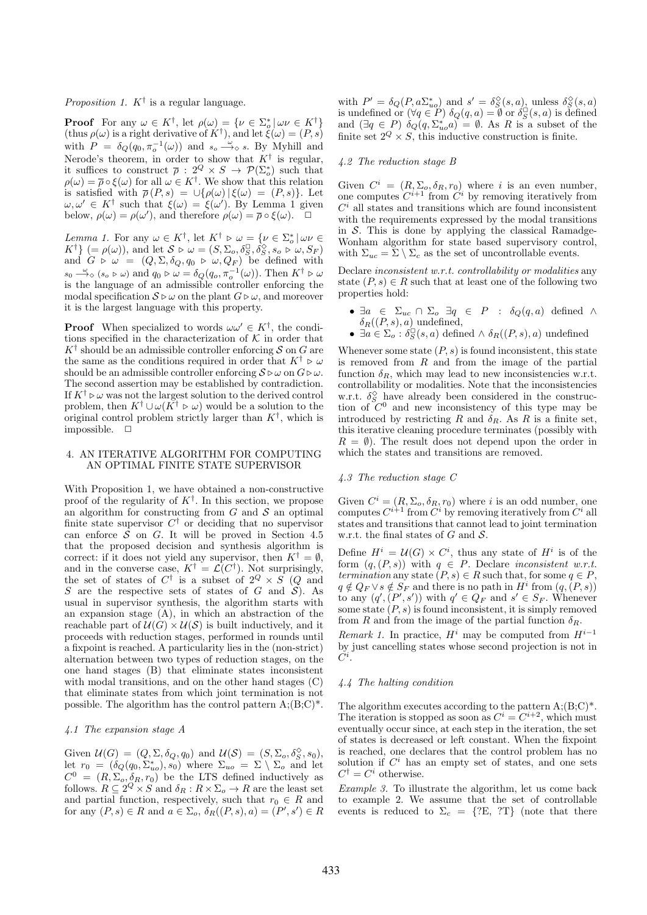*Proposition 1.*  $K^{\dagger}$  is a regular language.

**Proof** For any  $\omega \in K^{\dagger}$ , let  $\rho(\omega) = {\{\nu \in \Sigma_{o}^{*} \mid \omega \nu \in K^{\dagger}\}}$ (thus  $\rho(\omega)$  is a right derivative of  $K^{\dagger}$ ), and let  $\zeta(\omega) = (P, s)$ with  $P = \delta_Q(q_0, \pi_o^{-1}(\omega))$  and  $s_o \stackrel{\omega}{\longrightarrow} s$ . By Myhill and Nerode's theorem, in order to show that  $K^{\dagger}$  is regular, it suffices to construct  $\bar{\rho}: 2^Q \times S \to \mathcal{P}(\Sigma_o^*)$  such that  $\rho(\omega) = \overline{\rho} \circ \xi(\omega)$  for all  $\omega \in K^{\dagger}$ . We show that this relation is satisfied with  $\overline{\rho}(P,s) = \cup \{ \rho(\omega) | \xi(\omega) = (P,s) \}.$  Let  $\omega, \omega' \in K^{\dagger}$  such that  $\xi(\omega) = \xi(\omega')$ . By Lemma 1 given below,  $\rho(\omega) = \rho(\omega')$ , and therefore  $\rho(\omega) = \overline{\rho} \circ \xi(\omega)$ .  $\Box$ 

*Lemma 1.* For any  $\omega \in K^{\dagger}$ , let  $K^{\dagger} \triangleright \omega = \{ \nu \in \Sigma_o^* \mid \omega \nu \in$  $K^{\dagger}$  (=  $\rho(\omega)$ ), and let  $S \triangleright \omega = (S, \Sigma_o, \delta_S^{\Box}, \delta_S^{\Diamond}, s_o \triangleright \omega, S_F)$ and  $G \triangleright \omega = (Q, \Sigma, \delta_Q, q_0 \triangleright \omega, Q_F)$  be defined with  $s_0 \stackrel{\omega}{\longrightarrow} (s_o \triangleright \omega)$  and  $q_0 \triangleright \omega = \delta_Q(q_o, \pi_o^{-1}(\omega))$ . Then  $K^{\dagger} \triangleright \omega$ is the language of an admissible controller enforcing the modal specification  $S \triangleright \omega$  on the plant  $G \triangleright \omega$ , and moreover it is the largest language with this property.

**Proof** When specialized to words  $\omega \omega' \in K^{\dagger}$ , the conditions specified in the characterization of  $K$  in order that  $K^{\dagger}$  should be an admissible controller enforcing S on G are the same as the conditions required in order that  $K^{\dagger} \triangleright \omega$ should be an admissible controller enforcing  $S \triangleright \omega$  on  $G \triangleright \omega$ . The second assertion may be established by contradiction. If  $K^{\dagger} \triangleright \omega$  was not the largest solution to the derived control problem, then  $K^{\dagger} \cup \omega(\bar{K^{\dagger}} \triangleright \omega)$  would be a solution to the original control problem strictly larger than  $K^{\dagger}$ , which is impossible.  $\square$ 

## 4. AN ITERATIVE ALGORITHM FOR COMPUTING AN OPTIMAL FINITE STATE SUPERVISOR

With Proposition 1, we have obtained a non-constructive proof of the regularity of  $K^{\dagger}$ . In this section, we propose an algorithm for constructing from  $G$  and  $S$  an optimal finite state supervisor  $C^{\dagger}$  or deciding that no supervisor can enforce  $S$  on  $G$ . It will be proved in Section 4.5 that the proposed decision and synthesis algorithm is correct: if it does not yield any supervisor, then  $K^{\dagger} = \emptyset$ , and in the converse case,  $K^{\dagger} = \mathcal{L}(C^{\dagger})$ . Not surprisingly, the set of states of  $C^{\dagger}$  is a subset of  $2^Q \times S$  (Q and S are the respective sets of states of G and  $\mathcal{S}$ ). As usual in supervisor synthesis, the algorithm starts with an expansion stage  $(A)$ , in which an abstraction of the reachable part of  $\mathcal{U}(G) \times \mathcal{U}(S)$  is built inductively, and it proceeds with reduction stages, performed in rounds until a fixpoint is reached. A particularity lies in the (non-strict) alternation between two types of reduction stages, on the one hand stages (B) that eliminate states inconsistent with modal transitions, and on the other hand stages (C) that eliminate states from which joint termination is not possible. The algorithm has the control pattern  $A:(B;C)^*$ .

# *4.1 The expansion stage A*

Given  $\mathcal{U}(G) = (Q, \Sigma, \delta_Q, q_0)$  and  $\mathcal{U}(\mathcal{S}) = (S, \Sigma_o, \delta_S^{\diamond}, s_0)$ , let  $r_0 = (\delta_Q(q_0, \Sigma_{uo}^*), s_0)$  where  $\Sigma_{uo} = \Sigma \setminus \Sigma_o$  and let  $C^0 = (R, \Sigma_o, \delta_R, r_0)$  be the LTS defined inductively as follows.  $R \subseteq 2^Q \times S$  and  $\delta_R : R \times \Sigma_o \to R$  are the least set and partial function, respectively, such that  $r_0 \in R$  and for any  $(P, s) \in R$  and  $a \in \Sigma_o$ ,  $\delta_R((P, s), a) = (P', s') \in R$ 

with  $P' = \delta_Q(P, a\Sigma_{uo}^*)$  and  $s' = \delta_S^{\diamond}(s, a)$ , unless  $\delta_S^{\diamond}(s, a)$ is undefined or  $(\forall q \in P)$   $\delta_Q(q, a) = \emptyset$  or  $\delta_S^{\square}(s, a)$  is defined and  $(\exists q \in P) \ \delta_Q(q, \Sigma_{uo}^* a) = \emptyset$ . As R is a subset of the finite set  $2^Q \times S$ , this inductive construction is finite.

### *4.2 The reduction stage B*

Given  $C^i = (R, \Sigma_o, \delta_R, r_0)$  where i is an even number, one computes  $C^{i+1}$  from  $C^i$  by removing iteratively from  $C<sup>i</sup>$  all states and transitions which are found inconsistent with the requirements expressed by the modal transitions in  $S$ . This is done by applying the classical Ramadge-Wonham algorithm for state based supervisory control, with  $\Sigma_{uc} = \Sigma \setminus \Sigma_c$  as the set of uncontrollable events.

Declare *inconsistent w.r.t. controllability or modalities* any state  $(P, s) \in R$  such that at least one of the following two properties hold:

- $\exists a \in \Sigma_{uc} \cap \Sigma_o \exists q \in P : \delta_Q(q, a)$  defined  $\wedge$  $\delta_R((P,s),a)$  undefined,
- $\exists a \in \Sigma_o : \delta_S^{\square}(s, a)$  defined  $\wedge \delta_R((P, s), a)$  undefined

Whenever some state  $(P, s)$  is found inconsistent, this state is removed from  $R$  and from the image of the partial function  $\delta_R$ , which may lead to new inconsistencies w.r.t. controllability or modalities. Note that the inconsistencies w.r.t.  $\delta_S^{\Diamond}$  have already been considered in the construction of  $C^0$  and new inconsistency of this type may be introduced by restricting R and  $\delta_R$ . As R is a finite set, this iterative cleaning procedure terminates (possibly with  $R = \emptyset$ ). The result does not depend upon the order in which the states and transitions are removed.

#### *4.3 The reduction stage C*

Given  $C^i = (R, \Sigma_o, \delta_R, r_0)$  where *i* is an odd number, one computes  $C^{i+1}$  from  $C^i$  by removing iteratively from  $C^i$  all states and transitions that cannot lead to joint termination w.r.t. the final states of  $G$  and  $\mathcal{S}$ .

Define  $H^i = \mathcal{U}(G) \times C^i$ , thus any state of  $H^i$  is of the form  $(q,(P,s))$  with  $q \in P$ . Declare *inconsistent w.r.t. termination* any state  $(P, s) \in R$  such that, for some  $q \in P$ ,  $q \notin Q_F \vee s \notin S_F$  and there is no path in  $H^i$  from  $(q, (P, s))$ to any  $(q', (P', s'))$  with  $q' \in Q_F$  and  $s' \in S_F$ . Whenever some state  $(P, s)$  is found inconsistent, it is simply removed from R and from the image of the partial function  $\delta_R$ .

*Remark 1.* In practice,  $H^i$  may be computed from  $H^{i-1}$ by just cancelling states whose second projection is not in  $\tilde{C^i}.$ 

# *4.4 The halting condition*

The algorithm executes according to the pattern  $A$ ; $(B;C)^*$ . The iteration is stopped as soon as  $C^i = C^{i+2}$ , which must eventually occur since, at each step in the iteration, the set of states is decreased or left constant. When the fixpoint is reached, one declares that the control problem has no solution if  $C<sup>i</sup>$  has an empty set of states, and one sets  $C^{\dagger} = C^i$  otherwise.

*Example 3.* To illustrate the algorithm, let us come back to example 2. We assume that the set of controllable events is reduced to  $\Sigma_c = \{?E, ?T\}$  (note that there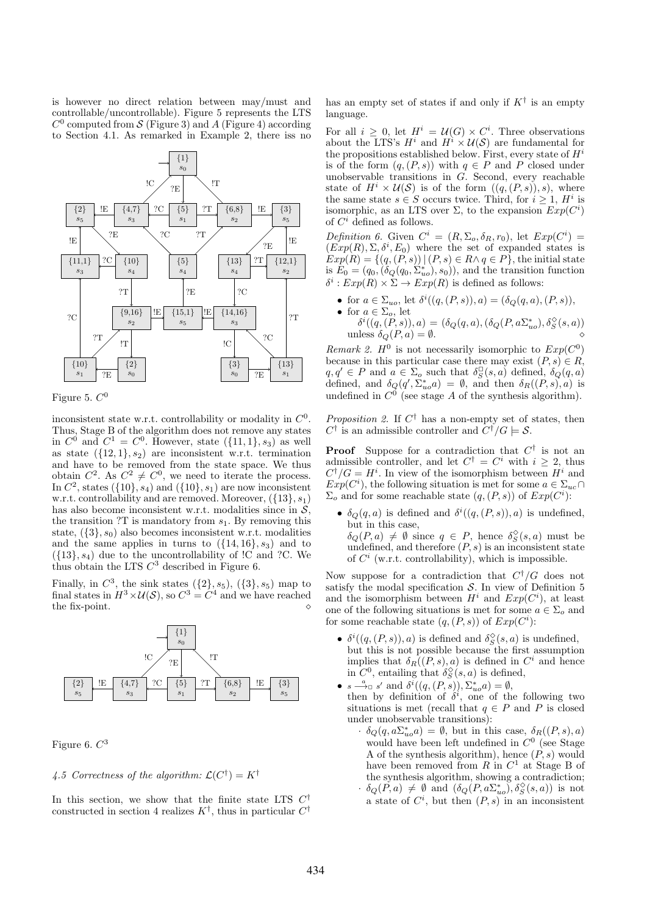is however no direct relation between may/must and controllable/uncontrollable). Figure 5 represents the LTS  $C^0$  computed from S (Figure 3) and A (Figure 4) according to Section 4.1. As remarked in Example 2, there iss no



Figure 5.  $C^0$ 

inconsistent state w.r.t. controllability or modality in  $C^0$ . Thus, Stage B of the algorithm does not remove any states in  $C^0$  and  $C^1 = C^0$ . However, state  $({11, 1}, s_3)$  as well as state  $({12, 1}, s_2)$  are inconsistent w.r.t. termination and have to be removed from the state space. We thus obtain  $C^2$ . As  $C^2 \neq C^0$ , we need to iterate the process. In  $C^2$ , states  $({10}, s_4)$  and  $({10}, s_1)$  are now inconsistent w.r.t. controllability and are removed. Moreover,  $({13}, s<sub>1</sub>)$ has also become inconsistent w.r.t. modalities since in  $S$ , the transition ?T is mandatory from  $s_1$ . By removing this state,  $({3}, s_0)$  also becomes inconsistent w.r.t. modalities and the same applies in turns to  $({14}, 16), s_3$  and to  $({13}, s_4)$  due to the uncontrollability of  ${C}$  and  ${?C}$ . We thus obtain the LTS  $C^3$  described in Figure 6.

Finally, in  $C^3$ , the sink states  $({2}, s_5)$ ,  $({3}, s_5)$  map to final states in  $H^3 \times \mathcal{U}(\mathcal{S})$ , so  $C^3 = C^4$  and we have reached the fix-point.  $\Diamond$ 



Figure 6.  $C^3$ 

# 4.5 Correctness of the algorithm:  $\mathcal{L}(C^{\dagger}) = K^{\dagger}$

In this section, we show that the finite state LTS  $C^{\dagger}$ constructed in section 4 realizes  $K^{\dagger}$ , thus in particular  $C^{\dagger}$ 

has an empty set of states if and only if  $K^{\dagger}$  is an empty language.

For all  $i \geq 0$ , let  $H^i = \mathcal{U}(G) \times C^i$ . Three observations about the LTS's  $H^i$  and  $H^i \times \mathcal{U}(\mathcal{S})$  are fundamental for the propositions established below. First, every state of  $H^i$ is of the form  $(q,(P,s))$  with  $q \in P$  and P closed under unobservable transitions in G. Second, every reachable state of  $H^i \times \mathcal{U}(S)$  is of the form  $((q, (P, s)), s)$ , where the same state  $s \in S$  occurs twice. Third, for  $i \geq 1$ ,  $H^i$  is isomorphic, as an LTS over  $\Sigma$ , to the expansion  $Exp(C<sup>i</sup>)$ of  $C^i$  defined as follows.

Definition 6. Given  $C^i = (R, \Sigma_o, \delta_R, r_0)$ , let  $Exp(C^i)$  $(Exp(R), \Sigma, \delta^i, E_0)$  where the set of expanded states is  $Exp(R) = \{(q, (P, s)) | (P, s) \in R \land q \in P\}$ , the initial state is  $E_0 = (q_0, (\delta_Q(q_0, \Sigma_{uo}^*), s_0))$ , and the transition function  $\delta^i: Exp(R) \times \Sigma \to Exp(R)$  is defined as follows:

- for  $a \in \Sigma_{uo}$ , let  $\delta^{i}((q, (P, s)), a) = (\delta_{Q}(q, a), (P, s)),$
- for  $a \in \Sigma_o$ , let  $\delta^{i}((q,(\stackrel{\sim}{P},s)),a)=(\delta_{Q}(q,a),(\delta_{Q}(P,a\Sigma_{uo}^{\ast}),\delta_{S}^{\diamondsuit}(s,a))$ unless  $\delta_Q(P, a) = \emptyset$ .

*Remark 2.*  $H^0$  is not necessarily isomorphic to  $Exp(C^0)$ because in this particular case there may exist  $(P, s) \in R$ ,  $q, q' \in P$  and  $a \in \Sigma_o$  such that  $\delta_S^{\square}(s, a)$  defined,  $\delta_Q(q, a)$ defined, and  $\delta_Q(q', \Sigma_{uo}^* a) = \emptyset$ , and then  $\delta_R((P, s), a)$  is undefined in  $C^0$  (see stage A of the synthesis algorithm).

*Proposition 2.* If  $C^{\dagger}$  has a non-empty set of states, then  $C^{\dagger}$  is an admissible controller and  $\overline{C^{\dagger}}/G \models \mathcal{S}$ .

**Proof** Suppose for a contradiction that  $C^{\dagger}$  is not an admissible controller, and let  $C^{\dagger} = C^i$  with  $i \geq 2$ , thus  $C^{\dagger}/G = H^i$ . In view of the isomorphism between  $H^i$  and  $Exp(C<sup>i</sup>)$ , the following situation is met for some  $a \in \Sigma_{uc} \cap$  $\Sigma_o$  and for some reachable state  $(q,(P,s))$  of  $Exp(C<sup>i</sup>)$ :

•  $\delta_Q(q, a)$  is defined and  $\delta^i((q, (P, s)), a)$  is undefined, but in this case,  $\delta_Q(P,a) \neq \emptyset$  since  $q \in P$ , hence  $\delta_S^{\diamond}(s,a)$  must be undefined, and therefore  $(P, s)$  is an inconsistent state of  $C^i$  (w.r.t. controllability), which is impossible.

Now suppose for a contradiction that  $C^{\dagger}/G$  does not satisfy the modal specification  $S$ . In view of Definition 5 and the isomorphism between  $H^i$  and  $Exp(C^i)$ , at least one of the following situations is met for some  $a \in \Sigma_o$  and for some reachable state  $(q, (P, s))$  of  $Exp(C<sup>i</sup>)$ :

- $\bullet$   $\delta^i((q,(P,s)),a)$  is defined and  $\delta^{\Diamond}_S(s,a)$  is undefined, but this is not possible because the first assumption implies that  $\delta_R((P,s),a)$  is defined in  $C^i$  and hence in  $C^0$ , entailing that  $\delta_S^{\diamond}(s, a)$  is defined,
- $s \stackrel{a}{\longrightarrow}_{\Box} s'$  and  $\delta^{i}((q,(P,s)), \Sigma_{uo}^{*} a) = \emptyset$ , then by definition of  $\delta^i$ , one of the following two situations is met (recall that  $q \in P$  and P is closed under unobservable transitions):
	- $\delta_Q(q, a\Sigma_{uo}^* a) = \emptyset$ , but in this case,  $\delta_R((P, s), a)$ would have been left undefined in  $C^0$  (see Stage A of the synthesis algorithm), hence  $(P, s)$  would have been removed from  $R$  in  $C<sup>1</sup>$  at Stage B of the synthesis algorithm, showing a contradiction;  $\delta_Q(P,a) \neq \emptyset$  and  $(\delta_Q(P,a\Sigma_{uo}^*), \delta_S^{\diamond}(s,a))$  is not a state of  $C^i$ , but then  $(P, s)$  in an inconsistent